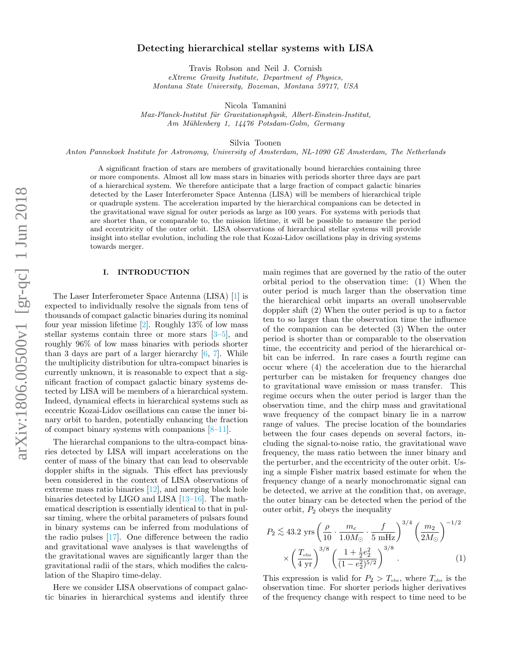# Detecting hierarchical stellar systems with LISA

Travis Robson and Neil J. Cornish eXtreme Gravity Institute, Department of Physics,

Montana State University, Bozeman, Montana 59717, USA

Nicola Tamanini

Max-Planck-Institut für Gravitationsphysik, Albert-Einstein-Institut, Am Mühlenberg 1, 14476 Potsdam-Golm, Germany

Silvia Toonen

Anton Pannekoek Institute for Astronomy, University of Amsterdam, NL-1090 GE Amsterdam, The Netherlands

A significant fraction of stars are members of gravitationally bound hierarchies containing three or more components. Almost all low mass stars in binaries with periods shorter three days are part of a hierarchical system. We therefore anticipate that a large fraction of compact galactic binaries detected by the Laser Interferometer Space Antenna (LISA) will be members of hierarchical triple or quadruple system. The acceleration imparted by the hierarchical companions can be detected in the gravitational wave signal for outer periods as large as 100 years. For systems with periods that are shorter than, or comparable to, the mission lifetime, it will be possible to measure the period and eccentricity of the outer orbit. LISA observations of hierarchical stellar systems will provide insight into stellar evolution, including the role that Kozai-Lidov oscillations play in driving systems towards merger.

# I. INTRODUCTION

The Laser Interferometer Space Antenna (LISA) [\[1\]](#page-13-0) is expected to individually resolve the signals from tens of thousands of compact galactic binaries during its nominal four year mission lifetime  $[2]$ . Roughly 13% of low mass stellar systems contain three or more stars  $[3-5]$  $[3-5]$ , and roughly 96% of low mass binaries with periods shorter than 3 days are part of a larger hierarchy  $[6, 7]$  $[6, 7]$ . While the multiplicity distribution for ultra-compact binaries is currently unknown, it is reasonable to expect that a significant fraction of compact galactic binary systems detected by LISA will be members of a hierarchical system. Indeed, dynamical effects in hierarchical systems such as eccentric Kozai-Lidov oscillations can cause the inner binary orbit to harden, potentially enhancing the fraction of compact binary systems with companions  $[8-11]$ .

The hierarchal companions to the ultra-compact binaries detected by LISA will impart accelerations on the center of mass of the binary that can lead to observable doppler shifts in the signals. This effect has previously been considered in the context of LISA observations of extreme mass ratio binaries [\[12\]](#page-13-8), and merging black hole binaries detected by LIGO and LISA [\[13](#page-13-9)[–16\]](#page-13-10). The mathematical description is essentially identical to that in pulsar timing, where the orbital parameters of pulsars found in binary systems can be inferred from modulations of the radio pulses [\[17\]](#page-13-11). One difference between the radio and gravitational wave analyses is that wavelengths of the gravitational waves are significantly larger than the gravitational radii of the stars, which modifies the calculation of the Shapiro time-delay.

Here we consider LISA observations of compact galactic binaries in hierarchical systems and identify three main regimes that are governed by the ratio of the outer orbital period to the observation time: (1) When the outer period is much larger than the observation time the hierarchical orbit imparts an overall unobservable doppler shift (2) When the outer period is up to a factor ten to so larger than the observation time the influence of the companion can be detected (3) When the outer period is shorter than or comparable to the observation time, the eccentricity and period of the hierarchical orbit can be inferred. In rare cases a fourth regime can occur where (4) the acceleration due to the hierarchal perturber can be mistaken for frequency changes due to gravitational wave emission or mass transfer. This regime occurs when the outer period is larger than the observation time, and the chirp mass and gravitational wave frequency of the compact binary lie in a narrow range of values. The precise location of the boundaries between the four cases depends on several factors, including the signal-to-noise ratio, the gravitational wave frequency, the mass ratio between the inner binary and the perturber, and the eccentricity of the outer orbit. Using a simple Fisher matrix based estimate for when the frequency change of a nearly monochromatic signal can be detected, we arrive at the condition that, on average, the outer binary can be detected when the period of the outer orbit,  $P_2$  obeys the inequality

<span id="page-0-0"></span>
$$
P_2 \lesssim 43.2 \text{ yrs} \left(\frac{\rho}{10} \cdot \frac{m_c}{1.0 M_{\odot}} \cdot \frac{f}{5 \text{ mHz}}\right)^{3/4} \left(\frac{m_2}{2M_{\odot}}\right)^{-1/2} \times \left(\frac{T_{\text{obs}}}{4 \text{ yr}}\right)^{3/8} \left(\frac{1 + \frac{1}{2}e_2^2}{(1 - e_2^2)^{5/2}}\right)^{3/8} . \tag{1}
$$

This expression is valid for  $P_2 > T_{obs}$ , where  $T_{obs}$  is the observation time. For shorter periods higher derivatives of the frequency change with respect to time need to be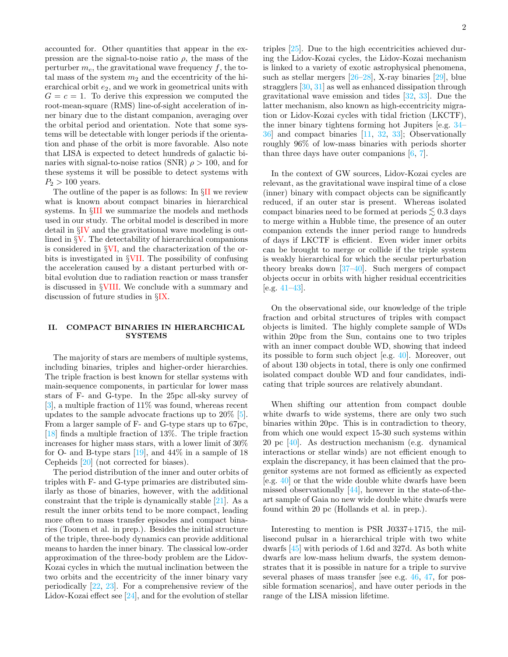accounted for. Other quantities that appear in the expression are the signal-to-noise ratio  $\rho$ , the mass of the perturber  $m_c$ , the gravitational wave frequency f, the total mass of the system  $m_2$  and the eccentricity of the hierarchical orbit  $e_2$ , and we work in geometrical units with  $G = c = 1$ . To derive this expression we computed the root-mean-square (RMS) line-of-sight acceleration of inner binary due to the distant companion, averaging over the orbital period and orientation. Note that some systems will be detectable with longer periods if the orientation and phase of the orbit is more favorable. Also note that LISA is expected to detect hundreds of galactic binaries with signal-to-noise ratios (SNR)  $\rho > 100$ , and for these systems it will be possible to detect systems with  $P_2 > 100$  years.

The outline of the paper is as follows: In §[II](#page-1-0) we review what is known about compact binaries in hierarchical systems. In §[III](#page-2-0) we summarize the models and methods used in our study. The orbital model is described in more detail in §[IV](#page-2-1) and the gravitational wave modeling is outlined in  $\S V$ . The detectability of hierarchical companions is considered in §[VI,](#page-6-0) and the characterization of the orbits is investigated in §[VII.](#page-7-0) The possibility of confusing the acceleration caused by a distant perturbed with orbital evolution due to radiation reaction or mass transfer is discussed in §[VIII.](#page-9-0) We conclude with a summary and discussion of future studies in §[IX.](#page-11-0)

# <span id="page-1-0"></span>II. COMPACT BINARIES IN HIERARCHICAL **SYSTEMS**

The majority of stars are members of multiple systems, including binaries, triples and higher-order hierarchies. The triple fraction is best known for stellar systems with main-sequence components, in particular for lower mass stars of F- and G-type. In the 25pc all-sky survey of [\[3\]](#page-13-2), a multiple fraction of 11% was found, whereas recent updates to the sample advocate fractions up to 20% [\[5\]](#page-13-3). From a larger sample of F- and G-type stars up to 67pc, [\[18\]](#page-13-12) finds a multiple fraction of 13%. The triple fraction increases for higher mass stars, with a lower limit of 30% for O- and B-type stars  $[19]$ , and  $44\%$  in a sample of 18 Cepheids [\[20\]](#page-13-14) (not corrected for biases).

The period distribution of the inner and outer orbits of triples with F- and G-type primaries are distributed similarly as those of binaries, however, with the additional constraint that the triple is dynamically stable [\[21\]](#page-13-15). As a result the inner orbits tend to be more compact, leading more often to mass transfer episodes and compact binaries (Toonen et al. in prep.). Besides the initial structure of the triple, three-body dynamics can provide additional means to harden the inner binary. The classical low-order approximation of the three-body problem are the Lidov-Kozai cycles in which the mutual inclination between the two orbits and the eccentricity of the inner binary vary periodically [\[22,](#page-13-16) [23\]](#page-13-17). For a comprehensive review of the Lidov-Kozai effect see [\[24\]](#page-13-18), and for the evolution of stellar

triples [\[25\]](#page-13-19). Due to the high eccentricities achieved during the Lidov-Kozai cycles, the Lidov-Kozai mechanism is linked to a variety of exotic astrophysical phenomena, such as stellar mergers [\[26](#page-13-20)[–28\]](#page-13-21), X-ray binaries [\[29\]](#page-14-0), blue stragglers [\[30,](#page-14-1) [31\]](#page-14-2) as well as enhanced dissipation through gravitational wave emission and tides [\[32,](#page-14-3) [33\]](#page-14-4). Due the latter mechanism, also known as high-eccentricity migration or Lidov-Kozai cycles with tidal friction (LKCTF), the inner binary tightens forming hot Jupiters [e.g. [34–](#page-14-5) [36\]](#page-14-6) and compact binaries [\[11,](#page-13-7) [32,](#page-14-3) [33\]](#page-14-4); Observationally roughly 96% of low-mass binaries with periods shorter than three days have outer companions  $[6, 7]$  $[6, 7]$ .

In the context of GW sources, Lidov-Kozai cycles are relevant, as the gravitational wave inspiral time of a close (inner) binary with compact objects can be significantly reduced, if an outer star is present. Whereas isolated compact binaries need to be formed at periods  $\lesssim 0.3$  days to merge within a Hubble time, the presence of an outer companion extends the inner period range to hundreds of days if LKCTF is efficient. Even wider inner orbits can be brought to merge or collide if the triple system is weakly hierarchical for which the secular perturbation theory breaks down [\[37–](#page-14-7)[40\]](#page-14-8). Such mergers of compact objects occur in orbits with higher residual eccentricities [e.g. [41–](#page-14-9)[43\]](#page-14-10).

On the observational side, our knowledge of the triple fraction and orbital structures of triples with compact objects is limited. The highly complete sample of WDs within 20pc from the Sun, contains one to two triples with an inner compact double WD, showing that indeed its possible to form such object [e.g. [40\]](#page-14-8). Moreover, out of about 130 objects in total, there is only one confirmed isolated compact double WD and four candidates, indicating that triple sources are relatively abundant.

When shifting our attention from compact double white dwarfs to wide systems, there are only two such binaries within 20pc. This is in contradiction to theory, from which one would expect 15-30 such systems within 20 pc [\[40\]](#page-14-8). As destruction mechanism (e.g. dynamical interactions or stellar winds) are not efficient enough to explain the discrepancy, it has been claimed that the progenitor systems are not formed as efficiently as expected [e.g. [40\]](#page-14-8) or that the wide double white dwarfs have been missed observationally [\[44\]](#page-14-11), however in the state-of-theart sample of Gaia no new wide double white dwarfs were found within 20 pc (Hollands et al. in prep.).

Interesting to mention is PSR J0337+1715, the millisecond pulsar in a hierarchical triple with two white dwarfs [\[45\]](#page-14-12) with periods of 1.6d and 327d. As both white dwarfs are low-mass helium dwarfs, the system demonstrates that it is possible in nature for a triple to survive several phases of mass transfer [see e.g. [46,](#page-14-13) [47,](#page-14-14) for possible formation scenarios], and have outer periods in the range of the LISA mission lifetime.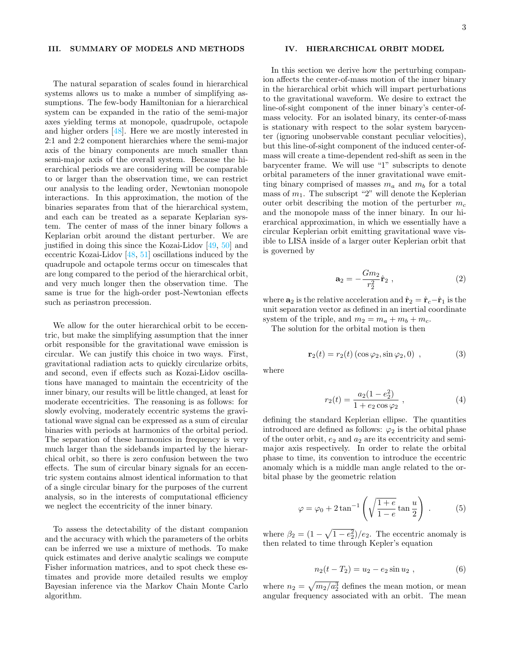#### <span id="page-2-0"></span>III. SUMMARY OF MODELS AND METHODS

The natural separation of scales found in hierarchical systems allows us to make a number of simplifying assumptions. The few-body Hamiltonian for a hierarchical system can be expanded in the ratio of the semi-major axes yielding terms at monopole, quadrupole, octapole and higher orders [\[48\]](#page-14-15). Here we are mostly interested in 2:1 and 2:2 component hierarchies where the semi-major axis of the binary components are much smaller than semi-major axis of the overall system. Because the hierarchical periods we are considering will be comparable to or larger than the observation time, we can restrict our analysis to the leading order, Newtonian monopole interactions. In this approximation, the motion of the binaries separates from that of the hierarchical system, and each can be treated as a separate Keplarian system. The center of mass of the inner binary follows a Keplarian orbit around the distant perturber. We are justified in doing this since the Kozai-Lidov [\[49,](#page-14-16) [50\]](#page-14-17) and eccentric Kozai-Lidov [\[48,](#page-14-15) [51\]](#page-14-18) oscillations induced by the quadrupole and octapole terms occur on timescales that are long compared to the period of the hierarchical orbit, and very much longer then the observation time. The same is true for the high-order post-Newtonian effects such as periastron precession.

We allow for the outer hierarchical orbit to be eccentric, but make the simplifying assumption that the inner orbit responsible for the gravitational wave emission is circular. We can justify this choice in two ways. First, gravitational radiation acts to quickly circularize orbits, and second, even if effects such as Kozai-Lidov oscillations have managed to maintain the eccentricity of the inner binary, our results will be little changed, at least for moderate eccentricities. The reasoning is as follows: for slowly evolving, moderately eccentric systems the gravitational wave signal can be expressed as a sum of circular binaries with periods at harmonics of the orbital period. The separation of these harmonics in frequency is very much larger than the sidebands imparted by the hierarchical orbit, so there is zero confusion between the two effects. The sum of circular binary signals for an eccentric system contains almost identical information to that of a single circular binary for the purposes of the current analysis, so in the interests of computational efficiency we neglect the eccentricity of the inner binary.

To assess the detectability of the distant companion and the accuracy with which the parameters of the orbits can be inferred we use a mixture of methods. To make quick estimates and derive analytic scalings we compute Fisher information matrices, and to spot check these estimates and provide more detailed results we employ Bayesian inference via the Markov Chain Monte Carlo algorithm.

# <span id="page-2-1"></span>IV. HIERARCHICAL ORBIT MODEL

In this section we derive how the perturbing companion affects the center-of-mass motion of the inner binary in the hierarchical orbit which will impart perturbations to the gravitational waveform. We desire to extract the line-of-sight component of the inner binary's center-ofmass velocity. For an isolated binary, its center-of-mass is stationary with respect to the solar system barycenter (ignoring unobservable constant peculiar velocities), but this line-of-sight component of the induced center-ofmass will create a time-dependent red-shift as seen in the barycenter frame. We will use "1" subscripts to denote orbital parameters of the inner gravitational wave emitting binary comprised of masses  $m_a$  and  $m_b$  for a total mass of  $m_1$ . The subscript "2" will denote the Keplerian outer orbit describing the motion of the perturber  $m_c$ and the monopole mass of the inner binary. In our hierarchical approximation, in which we essentially have a circular Keplerian orbit emitting gravitational wave visible to LISA inside of a larger outer Keplerian orbit that is governed by

$$
\mathbf{a}_2 = -\frac{Gm_2}{r_2^2}\hat{\mathbf{r}}_2 \tag{2}
$$

where  $\mathbf{a}_2$  is the relative acceleration and  $\hat{\mathbf{r}}_2 = \hat{\mathbf{r}}_c - \hat{\mathbf{r}}_1$  is the unit separation vector as defined in an inertial coordinate system of the triple, and  $m_2 = m_a + m_b + m_c$ .

The solution for the orbital motion is then

<span id="page-2-2"></span>
$$
\mathbf{r}_2(t) = r_2(t) \left(\cos \varphi_2, \sin \varphi_2, 0\right) , \qquad (3)
$$

where

$$
r_2(t) = \frac{a_2(1 - e_2^2)}{1 + e_2 \cos \varphi_2} \,, \tag{4}
$$

defining the standard Keplerian ellipse. The quantities introduced are defined as follows:  $\varphi_2$  is the orbital phase of the outer orbit,  $e_2$  and  $a_2$  are its eccentricity and semimajor axis respectively. In order to relate the orbital phase to time, its convention to introduce the eccentric anomaly which is a middle man angle related to the orbital phase by the geometric relation

$$
\varphi = \varphi_0 + 2 \tan^{-1} \left( \sqrt{\frac{1+e}{1-e}} \tan \frac{u}{2} \right) . \tag{5}
$$

where  $\beta_2 = (1 - \sqrt{1 - e_2^2})/e_2$ . The eccentric anomaly is then related to time through Kepler's equation

$$
n_2(t - T_2) = u_2 - e_2 \sin u_2 , \qquad (6)
$$

where  $n_2 = \sqrt{m_2/a_2^3}$  defines the mean motion, or mean angular frequency associated with an orbit. The mean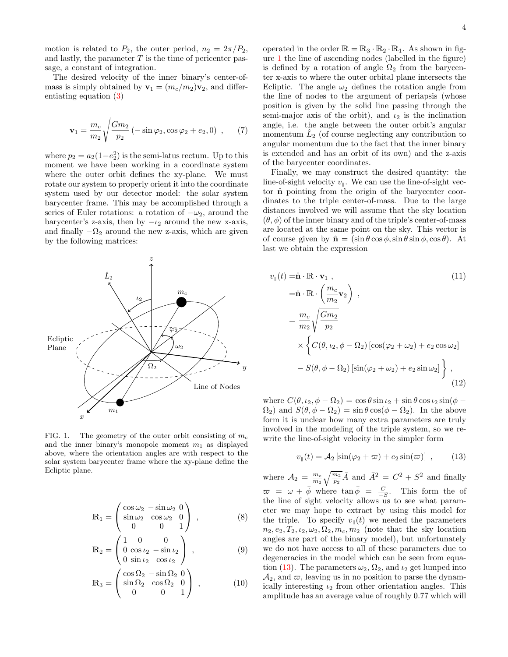motion is related to  $P_2$ , the outer period,  $n_2 = 2\pi/P_2$ , and lastly, the parameter  $T$  is the time of pericenter passage, a constant of integration.

The desired velocity of the inner binary's center-ofmass is simply obtained by  $\mathbf{v}_1 = (m_c/m_2)\mathbf{v}_2$ , and differentiating equation [\(3\)](#page-2-2)

<span id="page-3-2"></span>
$$
\mathbf{v}_1 = \frac{m_c}{m_2} \sqrt{\frac{Gm_2}{p_2}} \left( -\sin\varphi_2, \cos\varphi_2 + e_2, 0 \right) , \quad (7)
$$

where  $p_2 = a_2(1-e_2^2)$  is the semi-latus rectum. Up to this moment we have been working in a coordinate system where the outer orbit defines the xy-plane. We must rotate our system to properly orient it into the coordinate system used by our detector model: the solar system barycenter frame. This may be accomplished through a series of Euler rotations: a rotation of  $-\omega_2$ , around the barycenter's z-axis, then by  $-\iota_2$  around the new x-axis, and finally  $-\Omega_2$  around the new z-axis, which are given by the following matrices:



<span id="page-3-0"></span>FIG. 1. The geometry of the outer orbit consisting of  $m_c$ and the inner binary's monopole moment  $m_1$  as displayed above, where the orientation angles are with respect to the solar system barycenter frame where the xy-plane define the Ecliptic plane.

$$
\mathbb{R}_1 = \begin{pmatrix} \cos \omega_2 & -\sin \omega_2 & 0 \\ \sin \omega_2 & \cos \omega_2 & 0 \\ 0 & 0 & 1 \end{pmatrix} , \qquad (8)
$$

$$
\mathbb{R}_2 = \begin{pmatrix} 1 & 0 & 0 \\ 0 & \cos \iota_2 & -\sin \iota_2 \\ 0 & \sin \iota_2 & \cos \iota_2 \end{pmatrix} , \qquad (9)
$$

$$
\mathbb{R}_3 = \begin{pmatrix} \cos \Omega_2 & -\sin \Omega_2 & 0 \\ \sin \Omega_2 & \cos \Omega_2 & 0 \\ 0 & 0 & 1 \end{pmatrix} , \qquad (10)
$$

operated in the order  $\mathbb{R} = \mathbb{R}_3 \cdot \mathbb{R}_2 \cdot \mathbb{R}_1$ . As shown in figure [1](#page-3-0) the line of ascending nodes (labelled in the figure) is defined by a rotation of angle  $\Omega_2$  from the barycenter x-axis to where the outer orbital plane intersects the Ecliptic. The angle  $\omega_2$  defines the rotation angle from the line of nodes to the argument of periapsis (whose position is given by the solid line passing through the semi-major axis of the orbit), and  $\iota_2$  is the inclination angle, i.e. the angle between the outer orbit's angular momentum  $\hat{L}_2$  (of course neglecting any contribution to angular momentum due to the fact that the inner binary is extended and has an orbit of its own) and the z-axis of the barycenter coordinates.

Finally, we may construct the desired quantity: the line-of-sight velocity  $v_{\parallel}$ . We can use the line-of-sight vector  $\hat{\mathbf{n}}$  pointing from the origin of the barycenter coordinates to the triple center-of-mass. Due to the large distances involved we will assume that the sky location  $(\theta, \phi)$  of the inner binary and of the triple's center-of-mass are located at the same point on the sky. This vector is of course given by  $\hat{\mathbf{n}} = (\sin \theta \cos \phi, \sin \theta \sin \phi, \cos \theta)$ . At last we obtain the expression

$$
v_{\parallel}(t) = \hat{\mathbf{n}} \cdot \mathbf{R} \cdot \mathbf{v}_{1} ,
$$
\n
$$
= \hat{\mathbf{n}} \cdot \mathbf{R} \cdot \left(\frac{m_{c}}{m_{2}} \mathbf{v}_{2}\right) ,
$$
\n
$$
= \frac{m_{c}}{m_{2}} \sqrt{\frac{Gm_{2}}{p_{2}}} \times \left\{ C(\theta, \iota_{2}, \phi - \Omega_{2}) \left[\cos(\varphi_{2} + \omega_{2}) + e_{2} \cos \omega_{2}\right] - S(\theta, \phi - \Omega_{2}) \left[\sin(\varphi_{2} + \omega_{2}) + e_{2} \sin \omega_{2}\right] \right\} ,
$$
\n(12)

where  $C(\theta, \iota_2, \phi - \Omega_2) = \cos \theta \sin \iota_2 + \sin \theta \cos \iota_2 \sin(\phi - \Omega_2)$  $\Omega_2$ ) and  $S(\theta, \phi - \Omega_2) = \sin \theta \cos(\phi - \Omega_2)$ . In the above form it is unclear how many extra parameters are truly involved in the modeling of the triple system, so we rewrite the line-of-sight velocity in the simpler form

<span id="page-3-3"></span><span id="page-3-1"></span>
$$
v_{\parallel}(t) = \mathcal{A}_2 \left[ \sin(\varphi_2 + \varpi) + e_2 \sin(\varpi) \right] , \qquad (13)
$$

where  $A_2 = \frac{m_c}{m_2} \sqrt{\frac{m_2}{p_2}} \bar{A}$  and  $\bar{A}^2 = C^2 + S^2$  and finally  $\overline{\omega} = \omega + \overline{\phi}$  where  $\tan \overline{\phi} = \frac{C}{-S}$ . This form the of the line of sight velocity allows us to see what parameter we may hope to extract by using this model for the triple. To specify  $v_{\parallel}(t)$  we needed the parameters  $n_2, e_2, T_2, \iota_2, \omega_2, \Omega_2, m_c, m_2$  (note that the sky location angles are part of the binary model), but unfortunately we do not have access to all of these parameters due to degeneracies in the model which can be seen from equa-tion [\(13\)](#page-3-1). The parameters  $\omega_2$ ,  $\Omega_2$ , and  $\iota_2$  get lumped into  $\mathcal{A}_2$ , and  $\varpi$ , leaving us in no position to parse the dynamically interesting  $\iota_2$  from other orientation angles. This amplitude has an average value of roughly 0.77 which will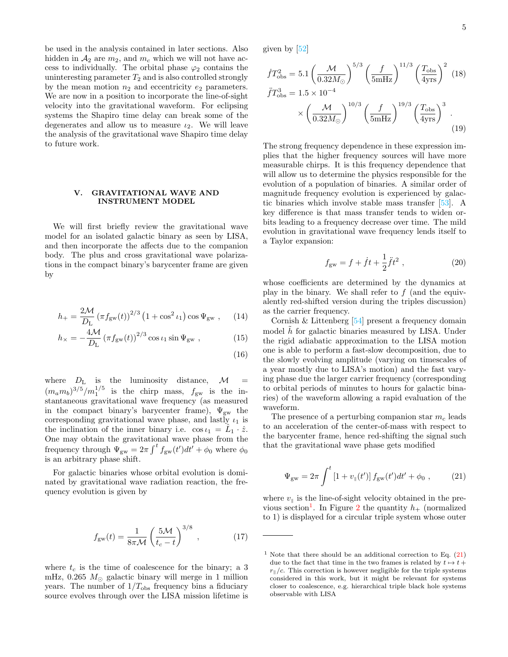be used in the analysis contained in later sections. Also hidden in  $A_2$  are  $m_2$ , and  $m_c$  which we will not have access to individually. The orbital phase  $\varphi_2$  contains the uninteresting parameter  $T_2$  and is also controlled strongly by the mean motion  $n_2$  and eccentricity  $e_2$  parameters. We are now in a position to incorporate the line-of-sight velocity into the gravitational waveform. For eclipsing systems the Shapiro time delay can break some of the degenerates and allow us to measure  $\iota_2$ . We will leave the analysis of the gravitational wave Shapiro time delay to future work.

# <span id="page-4-0"></span>V. GRAVITATIONAL WAVE AND INSTRUMENT MODEL

We will first briefly review the gravitational wave model for an isolated galactic binary as seen by LISA, and then incorporate the affects due to the companion body. The plus and cross gravitational wave polarizations in the compact binary's barycenter frame are given by

$$
h_{+} = \frac{2M}{D_{\rm L}} \left(\pi f_{\rm gw}(t)\right)^{2/3} \left(1 + \cos^2 t_1\right) \cos \Psi_{\rm gw} ,\qquad (14)
$$

$$
h_{\times} = -\frac{4\mathcal{M}}{D_{\rm L}} \left(\pi f_{\rm gw}(t)\right)^{2/3} \cos \iota_1 \sin \Psi_{\rm gw} ,\qquad (15)
$$

(16)

where  $D_{\rm L}$  is the luminosity distance,  ${\mathcal M}$  $(m_a m_b)^{3/5}/m_1^{1/5}$  is the chirp mass,  $f_{gw}$  is the instantaneous gravitational wave frequency (as measured in the compact binary's barycenter frame),  $\Psi_{gw}$  the corresponding gravitational wave phase, and lastly  $\iota_1$  is the inclination of the inner binary i.e.  $\cos \iota_1 = \hat{L}_1 \cdot \hat{z}$ . One may obtain the gravitational wave phase from the frequency through  $\Psi_{\rm gw} = 2\pi \int^t f_{\rm gw}(t')dt' + \phi_0$  where  $\phi_0$ is an arbitrary phase shift.

For galactic binaries whose orbital evolution is dominated by gravitational wave radiation reaction, the frequency evolution is given by

$$
f_{\rm gw}(t) = \frac{1}{8\pi\mathcal{M}} \left(\frac{5\mathcal{M}}{t_c - t}\right)^{3/8},\qquad(17)
$$

where  $t_c$  is the time of coalescence for the binary; a 3 mHz, 0.265  $M_{\odot}$  galactic binary will merge in 1 million years. The number of  $1/T_{\text{obs}}$  frequency bins a fiduciary source evolves through over the LISA mission lifetime is given by [\[52\]](#page-14-19)

$$
\dot{f}T_{\rm obs}^2 = 5.1 \left(\frac{\mathcal{M}}{0.32 M_{\odot}}\right)^{5/3} \left(\frac{f}{5 \text{mHz}}\right)^{11/3} \left(\frac{T_{\rm obs}}{4 \text{yrs}}\right)^2 (18)
$$
\n
$$
\ddot{f}T_{\rm obs}^3 = 1.5 \times 10^{-4}
$$
\n
$$
\times \left(\frac{\mathcal{M}}{0.32 M_{\odot}}\right)^{10/3} \left(\frac{f}{5 \text{mHz}}\right)^{19/3} \left(\frac{T_{\rm obs}}{4 \text{yrs}}\right)^3 (19)
$$

The strong frequency dependence in these expression implies that the higher frequency sources will have more measurable chirps. It is this frequency dependence that will allow us to determine the physics responsible for the evolution of a population of binaries. A similar order of magnitude frequency evolution is experienced by galactic binaries which involve stable mass transfer [\[53\]](#page-14-20). A key difference is that mass transfer tends to widen orbits leading to a frequency decrease over time. The mild evolution in gravitational wave frequency lends itself to a Taylor expansion:

<span id="page-4-3"></span>
$$
f_{\rm gw} = f + \dot{f}t + \frac{1}{2}\ddot{f}t^2 \,, \tag{20}
$$

whose coefficients are determined by the dynamics at play in the binary. We shall refer to  $f$  (and the equivalently red-shifted version during the triples discussion) as the carrier frequency.

Cornish & Littenberg [\[54\]](#page-14-21) present a frequency domain model  $h$  for galactic binaries measured by LISA. Under the rigid adiabatic approximation to the LISA motion one is able to perform a fast-slow decomposition, due to the slowly evolving amplitude (varying on timescales of a year mostly due to LISA's motion) and the fast varying phase due the larger carrier frequency (corresponding to orbital periods of minutes to hours for galactic binaries) of the waveform allowing a rapid evaluation of the waveform.

The presence of a perturbing companion star  $m_c$  leads to an acceleration of the center-of-mass with respect to the barycenter frame, hence red-shifting the signal such that the gravitational wave phase gets modified

<span id="page-4-2"></span>
$$
\Psi_{\rm gw} = 2\pi \int^t \left[1 + v_{\parallel}(t')\right] f_{\rm gw}(t') dt' + \phi_0 , \qquad (21)
$$

where  $v_{\parallel}$  is the line-of-sight velocity obtained in the pre-vious section<sup>[1](#page-4-1)</sup>. In Figure [2](#page-5-0) the quantity  $h_+$  (normalized to 1) is displayed for a circular triple system whose outer

<span id="page-4-1"></span><sup>&</sup>lt;sup>1</sup> Note that there should be an additional correction to Eq.  $(21)$ due to the fact that time in the two frames is related by  $t \mapsto t +$  $r_{\parallel}/c$ . This correction is however negligible for the triple systems considered in this work, but it might be relevant for systems closer to coalescence, e.g. hierarchical triple black hole systems observable with LISA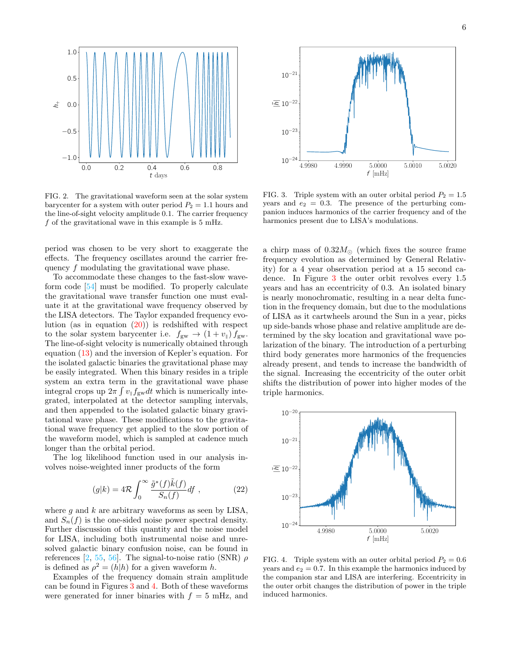

<span id="page-5-0"></span>FIG. 2. The gravitational waveform seen at the solar system barycenter for a system with outer period  $P_2 = 1.1$  hours and the line-of-sight velocity amplitude 0.1. The carrier frequency  $f$  of the gravitational wave in this example is 5 mHz.

period was chosen to be very short to exaggerate the effects. The frequency oscillates around the carrier frequency f modulating the gravitational wave phase.

To accommodate these changes to the fast-slow waveform code [\[54\]](#page-14-21) must be modified. To properly calculate the gravitational wave transfer function one must evaluate it at the gravitational wave frequency observed by the LISA detectors. The Taylor expanded frequency evolution (as in equation  $(20)$ ) is redshifted with respect to the solar system barycenter i.e.  $f_{gw} \rightarrow (1 + v_{\parallel}) f_{gw}$ . The line-of-sight velocity is numerically obtained through equation [\(13\)](#page-3-1) and the inversion of Kepler's equation. For the isolated galactic binaries the gravitational phase may be easily integrated. When this binary resides in a triple system an extra term in the gravitational wave phase integral crops up  $2\pi \int v_{\parallel} f_{\text{gw}} dt$  which is numerically integrated, interpolated at the detector sampling intervals, and then appended to the isolated galactic binary gravitational wave phase. These modifications to the gravitational wave frequency get applied to the slow portion of the waveform model, which is sampled at cadence much longer than the orbital period.

The log likelihood function used in our analysis involves noise-weighted inner products of the form

$$
(g|k) = 4\mathcal{R} \int_0^\infty \frac{\tilde{g}^*(f)\tilde{k}(f)}{S_n(f)} df , \qquad (22)
$$

where  $g$  and  $k$  are arbitrary waveforms as seen by LISA, and  $S_n(f)$  is the one-sided noise power spectral density. Further discussion of this quantity and the noise model for LISA, including both instrumental noise and unresolved galactic binary confusion noise, can be found in references [\[2,](#page-13-1) [55,](#page-14-22) [56\]](#page-14-23). The signal-to-noise ratio (SNR)  $\rho$ is defined as  $\rho^2 = (h|h)$  for a given waveform h.

Examples of the frequency domain strain amplitude can be found in Figures [3](#page-5-1) and [4.](#page-5-2) Both of these waveforms were generated for inner binaries with  $f = 5$  mHz, and



<span id="page-5-1"></span>FIG. 3. Triple system with an outer orbital period  $P_2 = 1.5$ years and  $e_2 = 0.3$ . The presence of the perturbing companion induces harmonics of the carrier frequency and of the harmonics present due to LISA's modulations.

a chirp mass of  $0.32M_{\odot}$  (which fixes the source frame frequency evolution as determined by General Relativity) for a 4 year observation period at a 15 second cadence. In Figure [3](#page-5-1) the outer orbit revolves every 1.5 years and has an eccentricity of 0.3. An isolated binary is nearly monochromatic, resulting in a near delta function in the frequency domain, but due to the modulations of LISA as it cartwheels around the Sun in a year, picks up side-bands whose phase and relative amplitude are determined by the sky location and gravitational wave polarization of the binary. The introduction of a perturbing third body generates more harmonics of the frequencies already present, and tends to increase the bandwidth of the signal. Increasing the eccentricity of the outer orbit shifts the distribution of power into higher modes of the triple harmonics.



<span id="page-5-2"></span>FIG. 4. Triple system with an outer orbital period  $P_2 = 0.6$ years and  $e_2 = 0.7$ . In this example the harmonics induced by the companion star and LISA are interfering. Eccentricity in the outer orbit changes the distribution of power in the triple induced harmonics.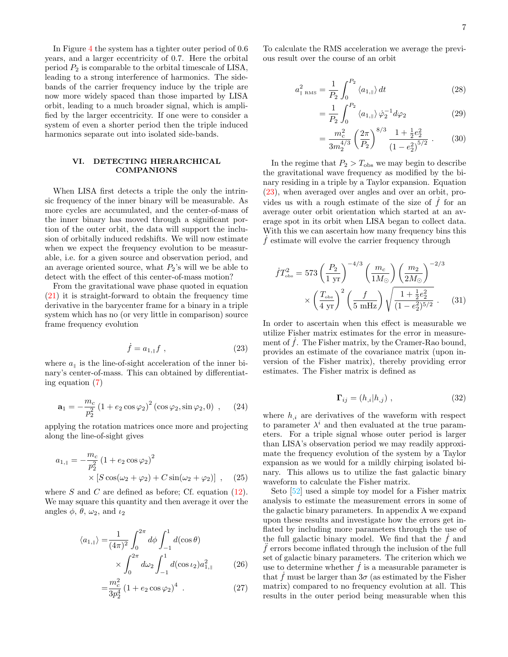In Figure [4](#page-5-2) the system has a tighter outer period of 0.6 years, and a larger eccentricity of 0.7. Here the orbital period  $P_2$  is comparable to the orbital timescale of LISA, leading to a strong interference of harmonics. The sidebands of the carrier frequency induce by the triple are now more widely spaced than those imparted by LISA orbit, leading to a much broader signal, which is amplified by the larger eccentricity. If one were to consider a system of even a shorter period then the triple induced harmonics separate out into isolated side-bands.

#### <span id="page-6-0"></span>VI. DETECTING HIERARCHICAL COMPANIONS

When LISA first detects a triple the only the intrinsic frequency of the inner binary will be measurable. As more cycles are accumulated, and the center-of-mass of the inner binary has moved through a significant portion of the outer orbit, the data will support the inclusion of orbitally induced redshifts. We will now estimate when we expect the frequency evolution to be measurable, i.e. for a given source and observation period, and an average oriented source, what  $P_2$ 's will we be able to detect with the effect of this center-of-mass motion?

From the gravitational wave phase quoted in equation [\(21\)](#page-4-2) it is straight-forward to obtain the frequency time derivative in the barycenter frame for a binary in a triple system which has no (or very little in comparison) source frame frequency evolution

<span id="page-6-1"></span>
$$
\dot{f} = a_{1,\parallel} f \tag{23}
$$

where  $a_{\parallel}$  is the line-of-sight acceleration of the inner binary's center-of-mass. This can obtained by differentiating equation [\(7\)](#page-3-2)

$$
\mathbf{a}_1 = -\frac{m_c}{p_2^2} \left( 1 + e_2 \cos \varphi_2 \right)^2 \left( \cos \varphi_2, \sin \varphi_2, 0 \right) , \quad (24)
$$

applying the rotation matrices once more and projecting along the line-of-sight gives

$$
a_{1, \parallel} = -\frac{m_c}{p_2^2} (1 + e_2 \cos \varphi_2)^2
$$
  
 
$$
\times [S \cos(\omega_2 + \varphi_2) + C \sin(\omega_2 + \varphi_2)] , \quad (25)
$$

where  $S$  and  $C$  are defined as before; Cf. equation [\(12\)](#page-3-3). We may square this quantity and then average it over the angles  $\phi$ ,  $\theta$ ,  $\omega_2$ , and  $\iota_2$ 

$$
\langle a_{1,\parallel} \rangle = \frac{1}{(4\pi)^2} \int_0^{2\pi} d\phi \int_{-1}^1 d(\cos \theta) \times \int_0^{2\pi} d\omega_2 \int_{-1}^1 d(\cos \iota_2) a_{1,\parallel}^2
$$
 (26)

$$
=\frac{m_c^2}{3p_2^4} \left(1 + e_2 \cos \varphi_2\right)^4 \ . \tag{27}
$$

To calculate the RMS acceleration we average the previous result over the course of an orbit

$$
a_{\parallel\;\rm RMS}^2 = \frac{1}{P_2} \int_0^{P_2} \langle a_{1,\parallel} \rangle \, dt \tag{28}
$$

$$
=\frac{1}{P_2}\int_0^{P_2} \langle a_{1,\parallel} \rangle \dot{\varphi}_2^{-1} d\varphi_2 \tag{29}
$$

$$
= \frac{m_c^2}{3m_2^{4/3}} \left(\frac{2\pi}{P_2}\right)^{8/3} \frac{1 + \frac{1}{2}e_2^2}{\left(1 - e_2^2\right)^{5/2}} . \tag{30}
$$

In the regime that  $P_2 > T_{\text{obs}}$  we may begin to describe the gravitational wave frequency as modified by the binary residing in a triple by a Taylor expansion. Equation [\(23\)](#page-6-1), when averaged over angles and over an orbit, provides us with a rough estimate of the size of  $\ddot{f}$  for an average outer orbit orientation which started at an average spot in its orbit when LISA began to collect data. With this we can ascertain how many frequency bins this  $f$  estimate will evolve the carrier frequency through

$$
\dot{f}T_{\text{obs}}^2 = 573 \left(\frac{P_2}{1 \text{ yr}}\right)^{-4/3} \left(\frac{m_c}{1M_{\odot}}\right) \left(\frac{m_2}{2M_{\odot}}\right)^{-2/3} \times \left(\frac{T_{\text{obs}}}{4 \text{ yr}}\right)^2 \left(\frac{f}{5 \text{ mHz}}\right) \sqrt{\frac{1 + \frac{1}{2}e_2^2}{(1 - e_2^2)^{5/2}}} \,. \tag{31}
$$

In order to ascertain when this effect is measurable we utilize Fisher matrix estimates for the error in measurement of  $\dot{f}$ . The Fisher matrix, by the Cramer-Rao bound, provides an estimate of the covariance matrix (upon inversion of the Fisher matrix), thereby providing error estimates. The Fisher matrix is defined as

$$
\Gamma_{ij} = (h_{,i}|h_{,j}) \tag{32}
$$

where  $h_{i}$  are derivatives of the waveform with respect to parameter  $\lambda^{i}$  and then evaluated at the true parameters. For a triple signal whose outer period is larger than LISA's observation period we may readily approximate the frequency evolution of the system by a Taylor expansion as we would for a mildly chirping isolated binary. This allows us to utilize the fast galactic binary waveform to calculate the Fisher matrix.

Seto [\[52\]](#page-14-19) used a simple toy model for a Fisher matrix analysis to estimate the measurement errors in some of the galactic binary parameters. In appendix A we expand upon these results and investigate how the errors get inflated by including more parameters through the use of the full galactic binary model. We find that the  $\dot{f}$  and  $\hat{f}$  errors become inflated through the inclusion of the full set of galactic binary parameters. The criterion which we use to determine whether  $\hat{f}$  is a measurable parameter is that f must be larger than  $3\sigma$  (as estimated by the Fisher matrix) compared to no frequency evolution at all. This results in the outer period being measurable when this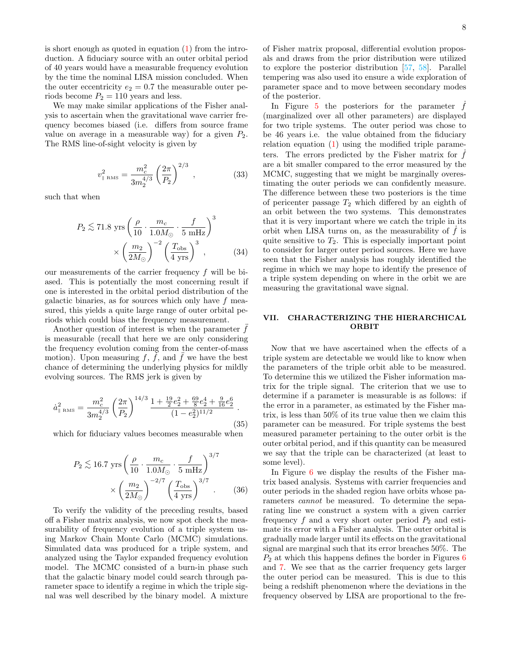is short enough as quoted in equation  $(1)$  from the introduction. A fiduciary source with an outer orbital period of 40 years would have a measurable frequency evolution by the time the nominal LISA mission concluded. When the outer eccentricity  $e_2 = 0.7$  the measurable outer periods become  $P_2 = 110$  years and less.

We may make similar applications of the Fisher analysis to ascertain when the gravitational wave carrier frequency becomes biased (i.e. differs from source frame value on average in a measurable way) for a given  $P_2$ . The RMS line-of-sight velocity is given by

$$
v_{\parallel\rm\,RMS}^2 = \frac{m_c^2}{3m_2^{4/3}} \left(\frac{2\pi}{P_2}\right)^{2/3} \,,\tag{33}
$$

such that when

$$
P_2 \lesssim 71.8 \text{ yrs} \left(\frac{\rho}{10} \cdot \frac{m_c}{1.0 M_\odot} \cdot \frac{f}{5 \text{ mHz}}\right)^3
$$

$$
\times \left(\frac{m_2}{2M_\odot}\right)^{-2} \left(\frac{T_{\text{obs}}}{4 \text{ yrs}}\right)^3 ,\tag{34}
$$

our measurements of the carrier frequency  $f$  will be biased. This is potentially the most concerning result if one is interested in the orbital period distribution of the galactic binaries, as for sources which only have  $f$  measured, this yields a quite large range of outer orbital periods which could bias the frequency measurement.

Another question of interest is when the parameter  $f$ is measurable (recall that here we are only considering the frequency evolution coming from the center-of-mass motion). Upon measuring f, f, and f we have the best chance of determining the underlying physics for mildly evolving sources. The RMS jerk is given by

$$
\dot{a}_{\parallel\;\text{RMS}}^2 = \frac{m_c^2}{3m_2^{4/3}} \left(\frac{2\pi}{P_2}\right)^{14/3} \frac{1 + \frac{19}{2}e_2^2 + \frac{69}{8}e_2^4 + \frac{9}{16}e_2^6}{(1 - e_2^2)^{11/2}} \tag{35}
$$

which for fiduciary values becomes measurable when

$$
P_2 \lesssim 16.7 \text{ yrs} \left(\frac{\rho}{10} \cdot \frac{m_c}{1.0 M_\odot} \cdot \frac{f}{5 \text{ mHz}}\right)^{3/7} \times \left(\frac{m_2}{2M_\odot}\right)^{-2/7} \left(\frac{T_{\text{obs}}}{4 \text{ yrs}}\right)^{3/7} . \tag{36}
$$

To verify the validity of the preceding results, based off a Fisher matrix analysis, we now spot check the measurability of frequency evolution of a triple system using Markov Chain Monte Carlo (MCMC) simulations. Simulated data was produced for a triple system, and analyzed using the Taylor expanded frequency evolution model. The MCMC consisted of a burn-in phase such that the galactic binary model could search through parameter space to identify a regime in which the triple signal was well described by the binary model. A mixture of Fisher matrix proposal, differential evolution proposals and draws from the prior distribution were utilized to explore the posterior distribution [\[57,](#page-14-24) [58\]](#page-14-25). Parallel tempering was also used ito ensure a wide exploration of parameter space and to move between secondary modes of the posterior.

In Figure  $5$  the posteriors for the parameter  $f$ (marginalized over all other parameters) are displayed for two triple systems. The outer period was chose to be 46 years i.e. the value obtained from the fiduciary relation equation  $(1)$  using the modified triple parameters. The errors predicted by the Fisher matrix for  $f$ are a bit smaller compared to the error measured by the MCMC, suggesting that we might be marginally overestimating the outer periods we can confidently measure. The difference between these two posteriors is the time of pericenter passage  $T_2$  which differed by an eighth of an orbit between the two systems. This demonstrates that it is very important where we catch the triple in its orbit when LISA turns on, as the measurability of  $\ddot{f}$  is quite sensitive to  $T_2$ . This is especially important point to consider for larger outer period sources. Here we have seen that the Fisher analysis has roughly identified the regime in which we may hope to identify the presence of a triple system depending on where in the orbit we are measuring the gravitational wave signal.

# <span id="page-7-0"></span>VII. CHARACTERIZING THE HIERARCHICAL ORBIT

Now that we have ascertained when the effects of a triple system are detectable we would like to know when the parameters of the triple orbit able to be measured. To determine this we utilized the Fisher information matrix for the triple signal. The criterion that we use to determine if a parameter is measurable is as follows: if the error in a parameter, as estimated by the Fisher matrix, is less than 50% of its true value then we claim this parameter can be measured. For triple systems the best measured parameter pertaining to the outer orbit is the outer orbital period, and if this quantity can be measured we say that the triple can be characterized (at least to some level).

In Figure [6](#page-8-1) we display the results of the Fisher matrix based analysis. Systems with carrier frequencies and outer periods in the shaded region have orbits whose parameters cannot be measured. To determine the separating line we construct a system with a given carrier frequency  $f$  and a very short outer period  $P_2$  and estimate its error with a Fisher analysis. The outer orbital is gradually made larger until its effects on the gravitational signal are marginal such that its error breaches 50%. The  $P<sub>2</sub>$  at which this happens defines the border in Figures [6](#page-8-1) and [7.](#page-8-2) We see that as the carrier frequency gets larger the outer period can be measured. This is due to this being a redshift phenomenon where the deviations in the frequency observed by LISA are proportional to the fre-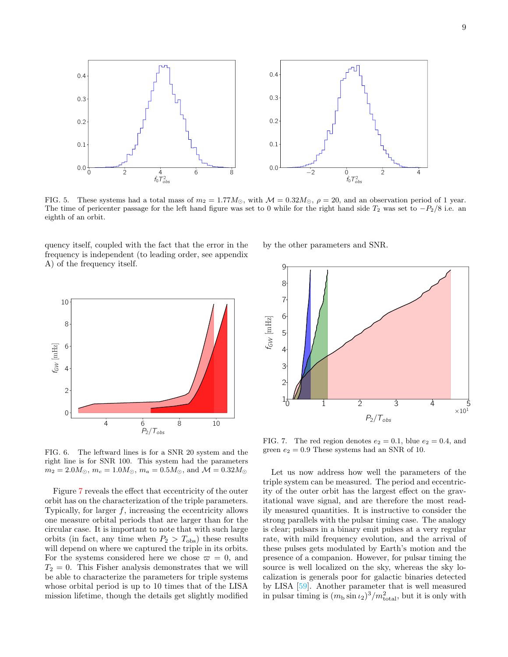

<span id="page-8-0"></span>FIG. 5. These systems had a total mass of  $m_2 = 1.77M_{\odot}$ , with  $\mathcal{M} = 0.32M_{\odot}$ ,  $\rho = 20$ , and an observation period of 1 year. The time of pericenter passage for the left hand figure was set to 0 while for the right hand side  $T_2$  was set to  $-P_2/8$  i.e. an eighth of an orbit.

quency itself, coupled with the fact that the error in the frequency is independent (to leading order, see appendix A) of the frequency itself.

0.1

0.2

0.3

0.4



by the other parameters and SNR.



 $f_0 T_{obs}^2$ 

<span id="page-8-1"></span>FIG. 6. The leftward lines is for a SNR 20 system and the right line is for SNR 100. This system had the parameters  $m_2 = 2.0 M_{\odot}$ ,  $m_c = 1.0 M_{\odot}$ ,  $m_a = 0.5 M_{\odot}$ , and  $\mathcal{M} = 0.32 M_{\odot}$ 

Figure [7](#page-8-2) reveals the effect that eccentricity of the outer orbit has on the characterization of the triple parameters. Typically, for larger  $f$ , increasing the eccentricity allows one measure orbital periods that are larger than for the circular case. It is important to note that with such large orbits (in fact, any time when  $P_2 > T_{\text{obs}}$ ) these results will depend on where we captured the triple in its orbits. For the systems considered here we chose  $\varpi = 0$ , and  $T_2 = 0$ . This Fisher analysis demonstrates that we will be able to characterize the parameters for triple systems whose orbital period is up to 10 times that of the LISA mission lifetime, though the details get slightly modified

<span id="page-8-2"></span>FIG. 7. The red region denotes  $e_2 = 0.1$ , blue  $e_2 = 0.4$ , and green  $e_2 = 0.9$  These systems had an SNR of 10.

Let us now address how well the parameters of the triple system can be measured. The period and eccentricity of the outer orbit has the largest effect on the gravitational wave signal, and are therefore the most readily measured quantities. It is instructive to consider the strong parallels with the pulsar timing case. The analogy is clear; pulsars in a binary emit pulses at a very regular rate, with mild frequency evolution, and the arrival of these pulses gets modulated by Earth's motion and the presence of a companion. However, for pulsar timing the source is well localized on the sky, whereas the sky localization is generals poor for galactic binaries detected by LISA [\[59\]](#page-14-26). Another parameter that is well measured in pulsar timing is  $(m_b \sin \iota_2)^3/m_{\text{total}}^2$ , but it is only with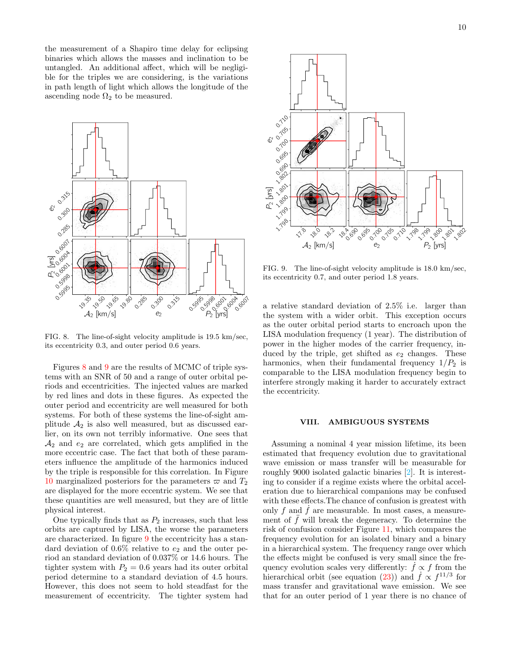the measurement of a Shapiro time delay for eclipsing binaries which allows the masses and inclination to be untangled. An additional affect, which will be negligible for the triples we are considering, is the variations in path length of light which allows the longitude of the ascending node  $\Omega_2$  to be measured.



<span id="page-9-1"></span>FIG. 8. The line-of-sight velocity amplitude is 19.5 km/sec, its eccentricity 0.3, and outer period 0.6 years.

Figures [8](#page-9-1) and [9](#page-9-2) are the results of MCMC of triple systems with an SNR of 50 and a range of outer orbital periods and eccentricities. The injected values are marked by red lines and dots in these figures. As expected the outer period and eccentricity are well measured for both systems. For both of these systems the line-of-sight amplitude  $A_2$  is also well measured, but as discussed earlier, on its own not terribly informative. One sees that  $A_2$  and  $e_2$  are correlated, which gets amplified in the more eccentric case. The fact that both of these parameters influence the amplitude of the harmonics induced by the triple is responsible for this correlation. In Figure [10](#page-10-0) marginalized posteriors for the parameters  $\varpi$  and  $T_2$ are displayed for the more eccentric system. We see that these quantities are well measured, but they are of little physical interest.

One typically finds that as  $P_2$  increases, such that less orbits are captured by LISA, the worse the parameters are characterized. In figure [9](#page-9-2) the eccentricity has a standard deviation of  $0.6\%$  relative to  $e_2$  and the outer period an standard deviation of 0.037% or 14.6 hours. The tighter system with  $P_2 = 0.6$  years had its outer orbital period determine to a standard deviation of 4.5 hours. However, this does not seem to hold steadfast for the measurement of eccentricity. The tighter system had



<span id="page-9-2"></span>FIG. 9. The line-of-sight velocity amplitude is 18.0 km/sec, its eccentricity 0.7, and outer period 1.8 years.

a relative standard deviation of 2.5% i.e. larger than the system with a wider orbit. This exception occurs as the outer orbital period starts to encroach upon the LISA modulation frequency (1 year). The distribution of power in the higher modes of the carrier frequency, induced by the triple, get shifted as  $e_2$  changes. These harmonics, when their fundamental frequency  $1/P_2$  is comparable to the LISA modulation frequency begin to interfere strongly making it harder to accurately extract the eccentricity.

#### <span id="page-9-0"></span>VIII. AMBIGUOUS SYSTEMS

Assuming a nominal 4 year mission lifetime, its been estimated that frequency evolution due to gravitational wave emission or mass transfer will be measurable for roughly 9000 isolated galactic binaries [\[2\]](#page-13-1). It is interesting to consider if a regime exists where the orbital acceleration due to hierarchical companions may be confused with these effects.The chance of confusion is greatest with only f and  $\dot{f}$  are measurable. In most cases, a measurement of  $\ddot{f}$  will break the degeneracy. To determine the risk of confusion consider Figure [11,](#page-10-1) which compares the frequency evolution for an isolated binary and a binary in a hierarchical system. The frequency range over which the effects might be confused is very small since the frequency evolution scales very differently:  $\hat{f} \propto f$  from the hierarchical orbit (see equation [\(23\)](#page-6-1)) and  $\dot{f} \propto f^{11/3}$  for mass transfer and gravitational wave emission. We see that for an outer period of 1 year there is no chance of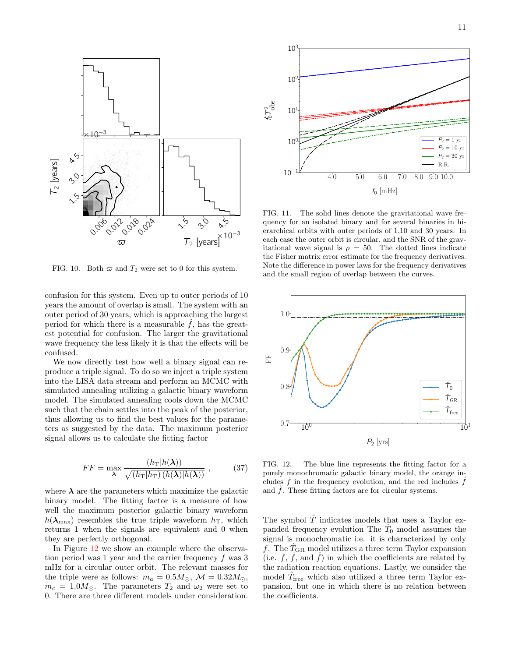

<span id="page-10-0"></span>FIG. 10. Both  $\varpi$  and  $T_2$  were set to 0 for this system.

confusion for this system. Even up to outer periods of 10 years the amount of overlap is small. The system with an outer period of 30 years, which is approaching the largest period for which there is a measurable  $f$ , has the greatest potential for confusion. The larger the gravitational wave frequency the less likely it is that the effects will be confused.

We now directly test how well a binary signal can reproduce a triple signal. To do so we inject a triple system into the LISA data stream and perform an MCMC with simulated annealing utilizing a galactic binary waveform model. The simulated annealing cools down the MCMC such that the chain settles into the peak of the posterior, thus allowing us to find the best values for the parameters as suggested by the data. The maximum posterior signal allows us to calculate the fitting factor

$$
FF = \max_{\lambda} \frac{(h_{\text{T}}|h(\lambda))}{\sqrt{(h_{\text{T}}|h_{\text{T}})(h(\lambda)|h(\lambda))}} ,
$$
 (37)

where  $\lambda$  are the parameters which maximize the galactic binary model. The fitting factor is a measure of how well the maximum posterior galactic binary waveform  $h(\lambda_{\text{max}})$  resembles the true triple waveform  $h_T$ , which returns 1 when the signals are equivalent and 0 when they are perfectly orthogonal.

In Figure [12](#page-10-2) we show an example where the observation period was 1 year and the carrier frequency f was 3 mHz for a circular outer orbit. The relevant masses for the triple were as follows:  $m_a = 0.5 M_\odot$ ,  $\mathcal{M} = 0.32 M_\odot$ ,  $m_c = 1.0 M_{\odot}$ . The parameters  $T_2$  and  $\omega_2$  were set to 0. There are three different models under consideration.



<span id="page-10-1"></span>FIG. 11. The solid lines denote the gravitational wave frequency for an isolated binary and for several binaries in hierarchical orbits with outer periods of 1,10 and 30 years. In each case the outer orbit is circular, and the SNR of the gravitational wave signal is  $\rho = 50$ . The dotted lines indicate the Fisher matrix error estimate for the frequency derivatives. Note the difference in power laws for the frequency derivatives and the small region of overlap between the curves.



<span id="page-10-2"></span>FIG. 12. The blue line represents the fitting factor for a purely monochromatic galactic binary model, the orange includes  $\dot{f}$  in the frequency evolution, and the red includes  $\dot{f}$ and  $\hat{f}$ . These fitting factors are for circular systems.

The symbol  $\hat{T}$  indicates models that uses a Taylor expanded frequency evolution The  $\hat{T}_0$  model assumes the signal is monochromatic i.e. it is characterized by only f. The  $T_{\rm GR}$  model utilizes a three term Taylor expansion (i.e.  $f, \tilde{f}$ , and  $\tilde{f}$ ) in which the coefficients are related by the radiation reaction equations. Lastly, we consider the model  $\hat{T}_{\text{free}}$  which also utilized a three term Taylor expansion, but one in which there is no relation between the coefficients.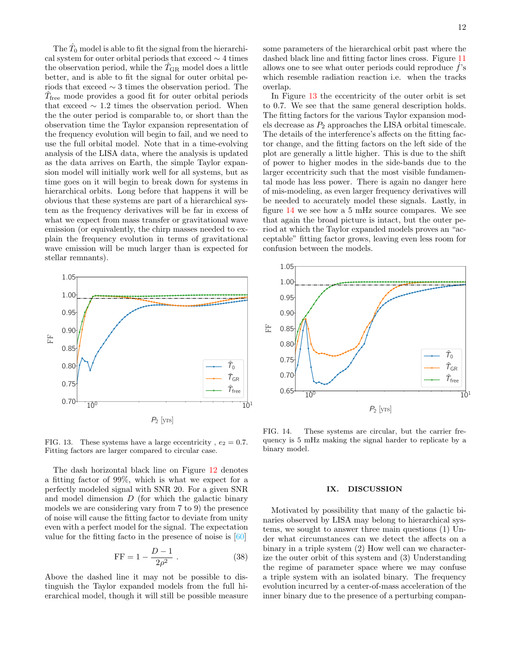The  $\hat{T}_0$  model is able to fit the signal from the hierarchical system for outer orbital periods that exceed  $\sim$  4 times the observation period, while the  $\hat{T}_{GR}$  model does a little better, and is able to fit the signal for outer orbital periods that exceed  $\sim$  3 times the observation period. The  $\hat{T}_{\text{free}}$  mode provides a good fit for outer orbital periods that exceed  $\sim$  1.2 times the observation period. When the the outer period is comparable to, or short than the observation time the Taylor expansion representation of the frequency evolution will begin to fail, and we need to use the full orbital model. Note that in a time-evolving analysis of the LISA data, where the analysis is updated as the data arrives on Earth, the simple Taylor expansion model will initially work well for all systems, but as time goes on it will begin to break down for systems in hierarchical orbits. Long before that happens it will be obvious that these systems are part of a hierarchical system as the frequency derivatives will be far in excess of what we expect from mass transfer or gravitational wave emission (or equivalently, the chirp masses needed to explain the frequency evolution in terms of gravitational wave emission will be much larger than is expected for stellar remnants).



<span id="page-11-1"></span>FIG. 13. These systems have a large eccentricity,  $e_2 = 0.7$ . Fitting factors are larger compared to circular case.

The dash horizontal black line on Figure [12](#page-10-2) denotes a fitting factor of 99%, which is what we expect for a perfectly modeled signal with SNR 20. For a given SNR and model dimension  $D$  (for which the galactic binary models we are considering vary from 7 to 9) the presence of noise will cause the fitting factor to deviate from unity even with a perfect model for the signal. The expectation value for the fitting facto in the presence of noise is  $[60]$ 

$$
FF = 1 - \frac{D - 1}{2\rho^2} \,. \tag{38}
$$

Above the dashed line it may not be possible to distinguish the Taylor expanded models from the full hierarchical model, though it will still be possible measure some parameters of the hierarchical orbit past where the dashed black line and fitting factor lines cross. Figure [11](#page-10-1) allows one to see what outer periods could reproduce  $\dot{f}$ 's which resemble radiation reaction i.e. when the tracks overlap.

In Figure [13](#page-11-1) the eccentricity of the outer orbit is set to 0.7. We see that the same general description holds. The fitting factors for the various Taylor expansion models decrease as  $P_2$  approaches the LISA orbital timescale. The details of the interference's affects on the fitting factor change, and the fitting factors on the left side of the plot are generally a little higher. This is due to the shift of power to higher modes in the side-bands due to the larger eccentricity such that the most visible fundamental mode has less power. There is again no danger here of mis-modeling, as even larger frequency derivatives will be needed to accurately model these signals. Lastly, in figure [14](#page-11-2) we see how a 5 mHz source compares. We see that again the broad picture is intact, but the outer period at which the Taylor expanded models proves an "acceptable" fitting factor grows, leaving even less room for confusion between the models.



<span id="page-11-2"></span>FIG. 14. These systems are circular, but the carrier frequency is 5 mHz making the signal harder to replicate by a binary model.

# <span id="page-11-0"></span>IX. DISCUSSION

Motivated by possibility that many of the galactic binaries observed by LISA may belong to hierarchical systems, we sought to answer three main questions (1) Under what circumstances can we detect the affects on a binary in a triple system (2) How well can we characterize the outer orbit of this system and (3) Understanding the regime of parameter space where we may confuse a triple system with an isolated binary. The frequency evolution incurred by a center-of-mass acceleration of the inner binary due to the presence of a perturbing compan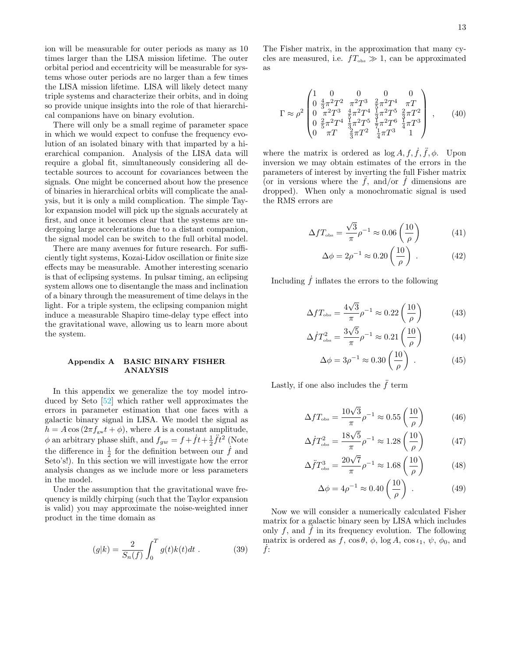ion will be measurable for outer periods as many as 10 times larger than the LISA mission lifetime. The outer orbital period and eccentricity will be measurable for systems whose outer periods are no larger than a few times the LISA mission lifetime. LISA will likely detect many triple systems and characterize their orbits, and in doing so provide unique insights into the role of that hierarchical companions have on binary evolution.

There will only be a small regime of parameter space in which we would expect to confuse the frequency evolution of an isolated binary with that imparted by a hierarchical companion. Analysis of the LISA data will require a global fit, simultaneously considering all detectable sources to account for covariances between the signals. One might be concerned about how the presence of binaries in hierarchical orbits will complicate the analysis, but it is only a mild complication. The simple Taylor expansion model will pick up the signals accurately at first, and once it becomes clear that the systems are undergoing large accelerations due to a distant companion, the signal model can be switch to the full orbital model.

There are many avenues for future research. For sufficiently tight systems, Kozai-Lidov oscillation or finite size effects may be measurable. Amother interesting scenario is that of eclipsing systems. In pulsar timing, an eclipsing system allows one to disentangle the mass and inclination of a binary through the measurement of time delays in the light. For a triple system, the eclipsing companion might induce a measurable Shapiro time-delay type effect into the gravitational wave, allowing us to learn more about the system.

# Appendix A BASIC BINARY FISHER ANALYSIS

In this appendix we generalize the toy model introduced by Seto [\[52\]](#page-14-19) which rather well approximates the errors in parameter estimation that one faces with a galactic binary signal in LISA. We model the signal as  $h = A \cos(2\pi f_{\rm gw} t + \phi)$ , where A is a constant amplitude,  $\phi$  an arbitrary phase shift, and  $f_{gw} = f + \dot{f}t + \frac{1}{2}\ddot{f}t^2$  (Note the difference in  $\frac{1}{2}$  for the definition between our  $\dot{f}$  and Seto's!). In this section we will investigate how the error analysis changes as we include more or less parameters in the model.

Under the assumption that the gravitational wave frequency is mildly chirping (such that the Taylor expansion is valid) you may approximate the noise-weighted inner product in the time domain as

$$
(g|k) = \frac{2}{S_n(f)} \int_0^T g(t)k(t)dt .
$$
 (39)

The Fisher matrix, in the approximation that many cycles are measured, i.e.  $f_{\text{obs}} \gg 1$ , can be approximated as

$$
\Gamma \approx \rho^2 \begin{pmatrix} 1 & 0 & 0 & 0 & 0 \\ 0 & \frac{4}{3}\pi^2 T^2 & \pi^2 T^3 & \frac{2}{5}\pi^2 T^4 & \pi T \\ 0 & \pi^2 T^3 & \frac{4}{5}\pi^2 T^4 & \frac{1}{3}\pi^2 T^5 & \frac{2}{3}\pi T^2 \\ 0 & \frac{2}{5}\pi^2 T^4 & \frac{1}{3}\pi^2 T^5 & \frac{1}{7}\pi^2 T^6 & \frac{1}{4}\pi T^3 \\ 0 & \pi T & \frac{2}{3}\pi T^2 & \frac{1}{4}\pi T^3 & 1 \end{pmatrix}, \qquad (40)
$$

where the matrix is ordered as  $\log A$ ,  $f, \dot{f}, \ddot{f}, \phi$ . Upon inversion we may obtain estimates of the errors in the parameters of interest by inverting the full Fisher matrix (or in versions where the  $\tilde{f}$ , and/or  $\tilde{f}$  dimensions are dropped). When only a monochromatic signal is used the RMS errors are

$$
\Delta f T_{\text{obs}} = \frac{\sqrt{3}}{\pi} \rho^{-1} \approx 0.06 \left( \frac{10}{\rho} \right) \tag{41}
$$

$$
\Delta \phi = 2\rho^{-1} \approx 0.20 \left(\frac{10}{\rho}\right) \ . \tag{42}
$$

Including  $\dot{f}$  inflates the errors to the following

$$
\Delta f T_{\text{obs}} = \frac{4\sqrt{3}}{\pi} \rho^{-1} \approx 0.22 \left(\frac{10}{\rho}\right) \tag{43}
$$

$$
\Delta \dot{f} T_{\text{obs}}^2 = \frac{3\sqrt{5}}{\pi} \rho^{-1} \approx 0.21 \left(\frac{10}{\rho}\right) \tag{44}
$$

$$
\Delta \phi = 3\rho^{-1} \approx 0.30 \left(\frac{10}{\rho}\right) . \tag{45}
$$

Lastly, if one also includes the  $\ddot{f}$  term

$$
\Delta f T_{\text{obs}} = \frac{10\sqrt{3}}{\pi} \rho^{-1} \approx 0.55 \left(\frac{10}{\rho}\right) \tag{46}
$$

$$
\Delta f T_{\text{obs}}^2 = \frac{18\sqrt{5}}{\pi} \rho^{-1} \approx 1.28 \left(\frac{10}{\rho}\right) \tag{47}
$$

$$
\Delta \ddot{f} T_{\text{obs}}^3 = \frac{20\sqrt{7}}{\pi} \rho^{-1} \approx 1.68 \left(\frac{10}{\rho}\right) \tag{48}
$$

$$
\Delta \phi = 4\rho^{-1} \approx 0.40 \left(\frac{10}{\rho}\right) \ . \tag{49}
$$

Now we will consider a numerically calculated Fisher matrix for a galactic binary seen by LISA which includes only f, and  $\dot{f}$  in its frequency evolution. The following matrix is ordered as f,  $\cos \theta$ ,  $\phi$ ,  $\log A$ ,  $\cos \iota_1$ ,  $\psi$ ,  $\phi_0$ , and  $f$ :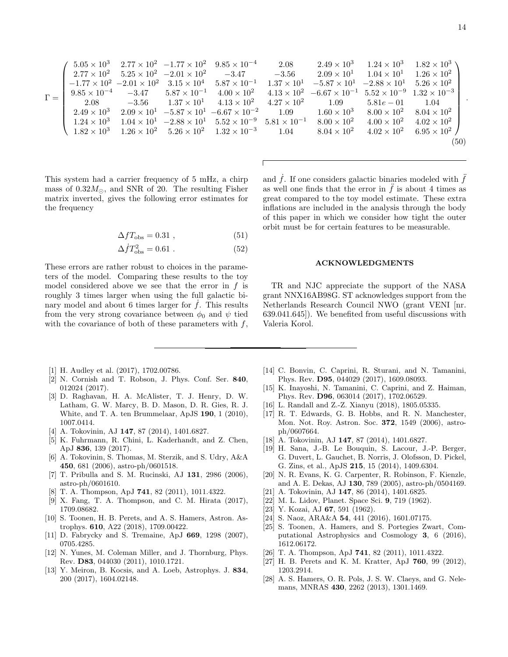.

$$
\Gamma = \left(\begin{array}{cccccc} 5.05\times10^3 & 2.77\times10^2 & -1.77\times10^2 & 9.85\times10^{-4} & 2.08 & 2.49\times10^3 & 1.24\times10^3 & 1.82\times10^3 \\ 2.77\times10^2 & 5.25\times10^2 & -2.01\times10^2 & -3.47 & -3.56 & 2.09\times10^1 & 1.04\times10^1 & 1.26\times10^2 \\ -1.77\times10^2 & -2.01\times10^2 & 3.15\times10^4 & 5.87\times10^{-1} & 1.37\times10^1 & -5.87\times10^1 & -2.88\times10^1 & 5.26\times10^2 \\ 9.85\times10^{-4} & -3.47 & 5.87\times10^{-1} & 4.00\times10^2 & 4.13\times10^2 & -6.67\times10^{-1} & 5.52\times10^{-9} & 1.32\times10^{-3} \\ 2.08 & -3.56 & 1.37\times10^1 & 4.13\times10^2 & 4.27\times10^2 & 1.09 & 5.81e-01 & 1.04 \\ 2.49\times10^3 & 2.09\times10^1 & -5.87\times10^1 & -6.67\times10^{-2} & 1.09 & 1.60\times10^3 & 8.00\times10^2 & 8.04\times10^2 \\ 1.24\times10^3 & 1.04\times10^1 & -2.88\times10^1 & 5.52\times10^{-9} & 5.81\times10^{-1} & 8.00\times10^2 & 4.00\times10^2 & 4.02\times10^2 \\ 1.82\times10^3 & 1.26\times10^2 & 5.26\times10^2 & 1.32\times10^{-3} & 1.04 & 8.04\times10^2 & 4.02\times10^2 & 6.95\times10^2 \\ \end{array}\right) \tag{50}
$$

This system had a carrier frequency of 5 mHz, a chirp mass of  $0.32M_{\odot}$ , and SNR of 20. The resulting Fisher matrix inverted, gives the following error estimates for the frequency

$$
\Delta f T_{\rm obs} = 0.31 \tag{51}
$$

$$
\Delta \dot{f} T_{\rm obs}^2 = 0.61 \ . \tag{52}
$$

These errors are rather robust to choices in the parameters of the model. Comparing these results to the toy model considered above we see that the error in  $f$  is roughly 3 times larger when using the full galactic binary model and about 6 times larger for  $\hat{f}$ . This results from the very strong covariance between  $\phi_0$  and  $\psi$  tied with the covariance of both of these parameters with  $f$ , and  $f$ . If one considers galactic binaries modeled with  $f$ as well one finds that the error in  $\ddot{f}$  is about 4 times as great compared to the toy model estimate. These extra inflations are included in the analysis through the body of this paper in which we consider how tight the outer orbit must be for certain features to be measurable.

#### ACKNOWLEDGMENTS

TR and NJC appreciate the support of the NASA grant NNX16AB98G. ST acknowledges support from the Netherlands Research Council NWO (grant VENI [nr. 639.041.645]). We benefited from useful discussions with Valeria Korol.

- <span id="page-13-0"></span>[1] H. Audley et al. (2017), 1702.00786.
- <span id="page-13-1"></span>[2] N. Cornish and T. Robson, J. Phys. Conf. Ser. 840, 012024 (2017).
- <span id="page-13-2"></span>[3] D. Raghavan, H. A. McAlister, T. J. Henry, D. W. Latham, G. W. Marcy, B. D. Mason, D. R. Gies, R. J. White, and T. A. ten Brummelaar, ApJS 190, 1 (2010), 1007.0414.
- [4] A. Tokovinin, AJ 147, 87 (2014), 1401.6827.
- <span id="page-13-3"></span>[5] K. Fuhrmann, R. Chini, L. Kaderhandt, and Z. Chen, ApJ 836, 139 (2017).
- <span id="page-13-4"></span>[6] A. Tokovinin, S. Thomas, M. Sterzik, and S. Udry, A&A 450, 681 (2006), astro-ph/0601518.
- <span id="page-13-5"></span>[7] T. Pribulla and S. M. Rucinski, AJ 131, 2986 (2006), astro-ph/0601610.
- <span id="page-13-6"></span>[8] T. A. Thompson, ApJ 741, 82 (2011), 1011.4322.
- [9] X. Fang, T. A. Thompson, and C. M. Hirata (2017), 1709.08682.
- [10] S. Toonen, H. B. Perets, and A. S. Hamers, Astron. Astrophys. 610, A22 (2018), 1709.00422.
- <span id="page-13-7"></span>[11] D. Fabrycky and S. Tremaine, ApJ 669, 1298 (2007), 0705.4285.
- <span id="page-13-8"></span>[12] N. Yunes, M. Coleman Miller, and J. Thornburg, Phys. Rev. D83, 044030 (2011), 1010.1721.
- <span id="page-13-9"></span>[13] Y. Meiron, B. Kocsis, and A. Loeb, Astrophys. J. 834, 200 (2017), 1604.02148.
- [14] C. Bonvin, C. Caprini, R. Sturani, and N. Tamanini, Phys. Rev. D95, 044029 (2017), 1609.08093.
- [15] K. Inayoshi, N. Tamanini, C. Caprini, and Z. Haiman, Phys. Rev. D96, 063014 (2017), 1702.06529.
- <span id="page-13-10"></span>[16] L. Randall and Z.-Z. Xianyu (2018), 1805.05335.
- <span id="page-13-11"></span>[17] R. T. Edwards, G. B. Hobbs, and R. N. Manchester, Mon. Not. Roy. Astron. Soc. 372, 1549 (2006), astroph/0607664.
- <span id="page-13-12"></span>[18] A. Tokovinin, AJ **147**, 87 (2014), 1401.6827.
- <span id="page-13-13"></span>[19] H. Sana, J.-B. Le Bouquin, S. Lacour, J.-P. Berger, G. Duvert, L. Gauchet, B. Norris, J. Olofsson, D. Pickel, G. Zins, et al., ApJS 215, 15 (2014), 1409.6304.
- <span id="page-13-14"></span>[20] N. R. Evans, K. G. Carpenter, R. Robinson, F. Kienzle, and A. E. Dekas, AJ 130, 789 (2005), astro-ph/0504169.
- <span id="page-13-15"></span>[21] A. Tokovinin, AJ 147, 86 (2014), 1401.6825.
- <span id="page-13-16"></span>[22] M. L. Lidov, Planet. Space Sci. 9, 719 (1962).
- <span id="page-13-17"></span>[23] Y. Kozai, AJ 67, 591 (1962).
- <span id="page-13-18"></span>[24] S. Naoz, ARA&A 54, 441 (2016), 1601.07175.
- <span id="page-13-19"></span>[25] S. Toonen, A. Hamers, and S. Portegies Zwart, Computational Astrophysics and Cosmology 3, 6 (2016), 1612.06172.
- <span id="page-13-20"></span>[26] T. A. Thompson, ApJ 741, 82 (2011), 1011.4322.
- [27] H. B. Perets and K. M. Kratter, ApJ 760, 99 (2012), 1203.2914.
- <span id="page-13-21"></span>[28] A. S. Hamers, O. R. Pols, J. S. W. Claeys, and G. Nelemans, MNRAS 430, 2262 (2013), 1301.1469.